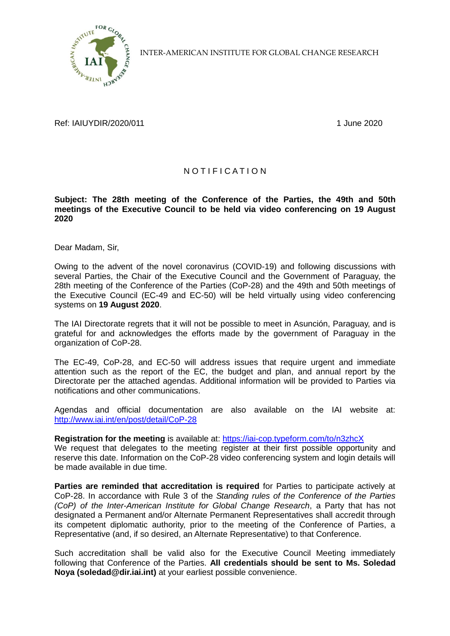

INTER-AMERICAN INSTITUTE FOR GLOBAL CHANGE RESEARCH

Ref: IAIUYDIR/2020/011 1 1 1 2020 1 June 2020

## N O T I F I C A T I O N

## **Subject: The 28th meeting of the Conference of the Parties, the 49th and 50th meetings of the Executive Council to be held via video conferencing on 19 August 2020**

Dear Madam, Sir,

Owing to the advent of the novel coronavirus (COVID-19) and following discussions with several Parties, the Chair of the Executive Council and the Government of Paraguay, the 28th meeting of the Conference of the Parties (CoP-28) and the 49th and 50th meetings of the Executive Council (EC-49 and EC-50) will be held virtually using video conferencing systems on **19 August 2020**.

The IAI Directorate regrets that it will not be possible to meet in Asunción, Paraguay, and is grateful for and acknowledges the efforts made by the government of Paraguay in the organization of CoP-28.

The EC-49, CoP-28, and EC-50 will address issues that require urgent and immediate attention such as the report of the EC, the budget and plan, and annual report by the Directorate per the attached agendas. Additional information will be provided to Parties via notifications and other communications.

Agendas and official documentation are also available on the IAI website at: <http://www.iai.int/en/post/detail/CoP-28>

**Registration for the meeting** is available at:<https://iai-cop.typeform.com/to/n3zhcX> We request that delegates to the meeting register at their first possible opportunity and reserve this date. Information on the CoP-28 video conferencing system and login details will be made available in due time.

**Parties are reminded that accreditation is required** for Parties to participate actively at CoP-28. In accordance with Rule 3 of the *Standing rules of the Conference of the Parties (CoP) of the Inter-American Institute for Global Change Research*, a Party that has not designated a Permanent and/or Alternate Permanent Representatives shall accredit through its competent diplomatic authority, prior to the meeting of the Conference of Parties, a Representative (and, if so desired, an Alternate Representative) to that Conference.

Such accreditation shall be valid also for the Executive Council Meeting immediately following that Conference of the Parties. **All credentials should be sent to Ms. Soledad Noya (soledad@dir.iai.int)** at your earliest possible convenience.